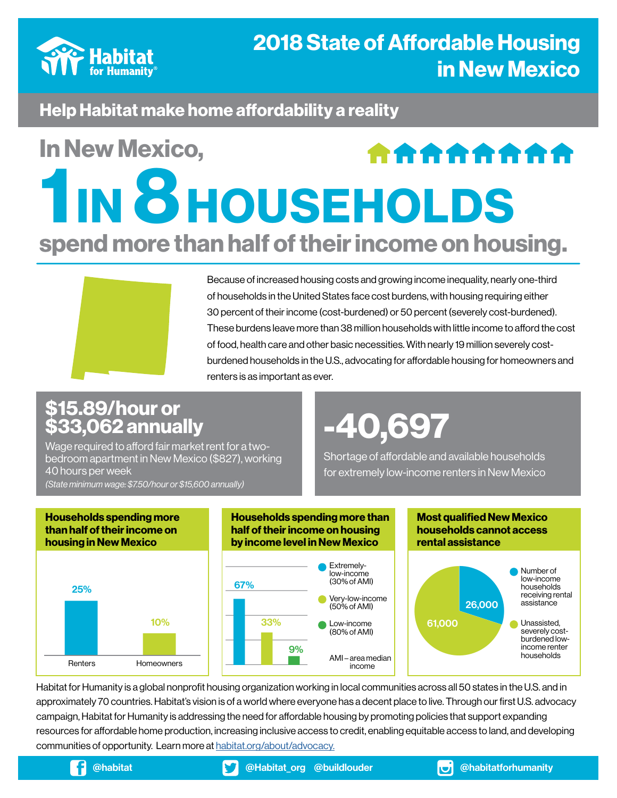

### 2018 State of Affordable Housing in New Mexico

### Help Habitat make home affordability a reality

# In New Mexico, **AAAAAAA** 1 IN 8 HOUSEHOLDS spend more than half of their income on housing.



Because of increased housing costs and growing income inequality, nearly one-third of households in the United States face cost burdens, with housing requiring either 30 percent of their income (cost-burdened) or 50 percent (severely cost-burdened). These burdens leave more than 38 million households with little income to afford the cost of food, health care and other basic necessities. With nearly 19 million severely costburdened households in the U.S., advocating for affordable housing for homeowners and renters is as important as ever.

### \$15.89/hour or \$33,062 annually

Wage required to afford fair market rent for a twobedroom apartment in New Mexico (\$827), working 40 hours per week

*(State minimum wage: \$7.50/hour or \$15,600 annually)* 

-40,697

Shortage of affordable and available households for extremely low-income renters in New Mexico



Habitat for Humanity is a global nonprofit housing organization working in local communities across all 50 states in the U.S. and in approximately 70 countries. Habitat's vision is of a world where everyone has a decent place to live. Through our first U.S. advocacy campaign, Habitat for Humanity is addressing the need for affordable housing by promoting policies that support expanding resources for affordable home production, increasing inclusive access to credit, enabling equitable access to land, and developing communities of opportunity. Learn more at habitat.org/about/advocacy.